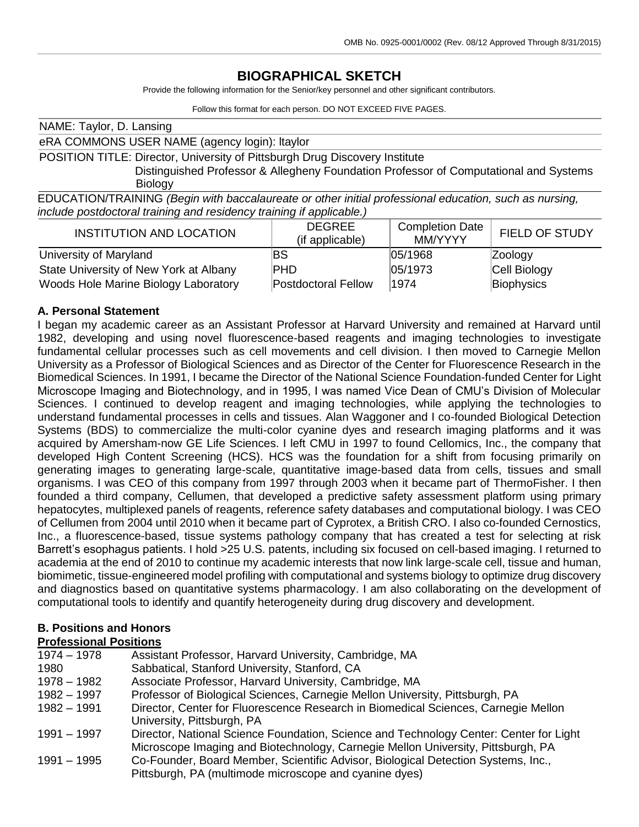# **BIOGRAPHICAL SKETCH**

Provide the following information for the Senior/key personnel and other significant contributors.

Follow this format for each person. DO NOT EXCEED FIVE PAGES.

| NAME: Taylor, D. Lansing                                                                               |                     |                        |                       |  |  |
|--------------------------------------------------------------------------------------------------------|---------------------|------------------------|-----------------------|--|--|
| eRA COMMONS USER NAME (agency login): Itaylor                                                          |                     |                        |                       |  |  |
| POSITION TITLE: Director, University of Pittsburgh Drug Discovery Institute                            |                     |                        |                       |  |  |
| Distinguished Professor & Allegheny Foundation Professor of Computational and Systems                  |                     |                        |                       |  |  |
| <b>Biology</b>                                                                                         |                     |                        |                       |  |  |
| EDUCATION/TRAINING (Begin with baccalaureate or other initial professional education, such as nursing, |                     |                        |                       |  |  |
| include postdoctoral training and residency training if applicable.)                                   |                     |                        |                       |  |  |
| <b>INSTITUTION AND LOCATION</b>                                                                        | <b>DEGREE</b>       | <b>Completion Date</b> | <b>FIELD OF STUDY</b> |  |  |
|                                                                                                        | (if applicable)     | MM/YYYY                |                       |  |  |
| University of Maryland                                                                                 | BS                  | 05/1968                | Zoology               |  |  |
| State University of New York at Albany                                                                 | PHD                 | 05/1973                | Cell Biology          |  |  |
| Woods Hole Marine Biology Laboratory                                                                   | Postdoctoral Fellow | 1974                   | Biophysics            |  |  |

#### **A. Personal Statement**

I began my academic career as an Assistant Professor at Harvard University and remained at Harvard until 1982, developing and using novel fluorescence-based reagents and imaging technologies to investigate fundamental cellular processes such as cell movements and cell division. I then moved to Carnegie Mellon University as a Professor of Biological Sciences and as Director of the Center for Fluorescence Research in the Biomedical Sciences. In 1991, I became the Director of the National Science Foundation-funded Center for Light Microscope Imaging and Biotechnology, and in 1995, I was named Vice Dean of CMU's Division of Molecular Sciences. I continued to develop reagent and imaging technologies, while applying the technologies to understand fundamental processes in cells and tissues. Alan Waggoner and I co-founded Biological Detection Systems (BDS) to commercialize the multi-color cyanine dyes and research imaging platforms and it was acquired by Amersham-now GE Life Sciences. I left CMU in 1997 to found Cellomics, Inc., the company that developed High Content Screening (HCS). HCS was the foundation for a shift from focusing primarily on generating images to generating large-scale, quantitative image-based data from cells, tissues and small organisms. I was CEO of this company from 1997 through 2003 when it became part of ThermoFisher. I then founded a third company, Cellumen, that developed a predictive safety assessment platform using primary hepatocytes, multiplexed panels of reagents, reference safety databases and computational biology. I was CEO of Cellumen from 2004 until 2010 when it became part of Cyprotex, a British CRO. I also co-founded Cernostics, Inc., a fluorescence-based, tissue systems pathology company that has created a test for selecting at risk Barrett's esophagus patients. I hold >25 U.S. patents, including six focused on cell-based imaging. I returned to academia at the end of 2010 to continue my academic interests that now link large-scale cell, tissue and human, biomimetic, tissue-engineered model profiling with computational and systems biology to optimize drug discovery and diagnostics based on quantitative systems pharmacology. I am also collaborating on the development of computational tools to identify and quantify heterogeneity during drug discovery and development.

# **B. Positions and Honors**

# **Professional Positions**

| $1974 - 1978$ | Assistant Professor, Harvard University, Cambridge, MA                                 |
|---------------|----------------------------------------------------------------------------------------|
| 1980          | Sabbatical, Stanford University, Stanford, CA                                          |
| 1978 - 1982   | Associate Professor, Harvard University, Cambridge, MA                                 |
| 1982 - 1997   | Professor of Biological Sciences, Carnegie Mellon University, Pittsburgh, PA           |
| $1982 - 1991$ | Director, Center for Fluorescence Research in Biomedical Sciences, Carnegie Mellon     |
|               | University, Pittsburgh, PA                                                             |
| 1991 – 1997   | Director, National Science Foundation, Science and Technology Center: Center for Light |
|               | Microscope Imaging and Biotechnology, Carnegie Mellon University, Pittsburgh, PA       |
| 1991 – 1995   | Co-Founder, Board Member, Scientific Advisor, Biological Detection Systems, Inc.,      |
|               | Pittsburgh, PA (multimode microscope and cyanine dyes)                                 |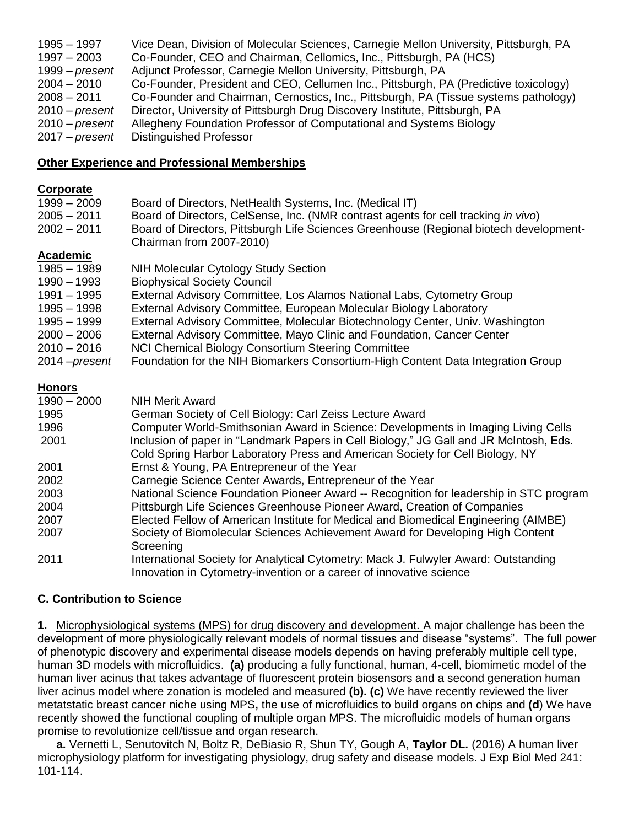| 1995 - 1997<br>$1997 - 2003$ | Vice Dean, Division of Molecular Sciences, Carnegie Mellon University, Pittsburgh, PA<br>Co-Founder, CEO and Chairman, Cellomics, Inc., Pittsburgh, PA (HCS) |
|------------------------------|--------------------------------------------------------------------------------------------------------------------------------------------------------------|
| $1999 - present$             | Adjunct Professor, Carnegie Mellon University, Pittsburgh, PA                                                                                                |
| $2004 - 2010$                | Co-Founder, President and CEO, Cellumen Inc., Pittsburgh, PA (Predictive toxicology)                                                                         |
| $2008 - 2011$                | Co-Founder and Chairman, Cernostics, Inc., Pittsburgh, PA (Tissue systems pathology)                                                                         |
| $2010$ – present             | Director, University of Pittsburgh Drug Discovery Institute, Pittsburgh, PA                                                                                  |
| $2010$ – present             | Allegheny Foundation Professor of Computational and Systems Biology                                                                                          |
| $2017$ – present             | Distinguished Professor                                                                                                                                      |

### **Other Experience and Professional Memberships**

### **Corporate**

| $1999 - 2009$         | Board of Directors, NetHealth Systems, Inc. (Medical IT)                               |
|-----------------------|----------------------------------------------------------------------------------------|
| $2005 - 2011$         | Board of Directors, CelSense, Inc. (NMR contrast agents for cell tracking in vivo)     |
| $2002 - 2011$         | Board of Directors, Pittsburgh Life Sciences Greenhouse (Regional biotech development- |
|                       | Chairman from 2007-2010)                                                               |
| <b>Academic</b>       |                                                                                        |
| $1985 - 1989$         | <b>NIH Molecular Cytology Study Section</b>                                            |
| $1990 - 1993$         | <b>Biophysical Society Council</b>                                                     |
| $1991 - 1995$         | External Advisory Committee, Los Alamos National Labs, Cytometry Group                 |
| 1995 – 1998           | External Advisory Committee, European Molecular Biology Laboratory                     |
| 1995 - 1999           | External Advisory Committee, Molecular Biotechnology Center, Univ. Washington          |
| $2000 - 2006$         | External Advisory Committee, Mayo Clinic and Foundation, Cancer Center                 |
| $2010 - 2016$         | NCI Chemical Biology Consortium Steering Committee                                     |
| 2014 – <i>present</i> | Foundation for the NIH Biomarkers Consortium-High Content Data Integration Group       |
|                       |                                                                                        |

# **Honors**

| $1990 - 2000$ | <b>NIH Merit Award</b>                                                                 |
|---------------|----------------------------------------------------------------------------------------|
| 1995          | German Society of Cell Biology: Carl Zeiss Lecture Award                               |
| 1996          | Computer World-Smithsonian Award in Science: Developments in Imaging Living Cells      |
| 2001          | Inclusion of paper in "Landmark Papers in Cell Biology," JG Gall and JR McIntosh, Eds. |
|               | Cold Spring Harbor Laboratory Press and American Society for Cell Biology, NY          |
| 2001          | Ernst & Young, PA Entrepreneur of the Year                                             |
| 2002          | Carnegie Science Center Awards, Entrepreneur of the Year                               |
| 2003          | National Science Foundation Pioneer Award -- Recognition for leadership in STC program |
| 2004          | Pittsburgh Life Sciences Greenhouse Pioneer Award, Creation of Companies               |
| 2007          | Elected Fellow of American Institute for Medical and Biomedical Engineering (AIMBE)    |
| 2007          | Society of Biomolecular Sciences Achievement Award for Developing High Content         |
|               | Screening                                                                              |
| 2011          | International Society for Analytical Cytometry: Mack J. Fulwyler Award: Outstanding    |
|               | Innovation in Cytometry-invention or a career of innovative science                    |

# **C. Contribution to Science**

**1.** Microphysiological systems (MPS) for drug discovery and development. A major challenge has been the development of more physiologically relevant models of normal tissues and disease "systems". The full power of phenotypic discovery and experimental disease models depends on having preferably multiple cell type, human 3D models with microfluidics. **(a)** producing a fully functional, human, 4-cell, biomimetic model of the human liver acinus that takes advantage of fluorescent protein biosensors and a second generation human liver acinus model where zonation is modeled and measured **(b). (c)** We have recently reviewed the liver metatstatic breast cancer niche using MPS**,** the use of microfluidics to build organs on chips and **(d**) We have recently showed the functional coupling of multiple organ MPS. The microfluidic models of human organs promise to revolutionize cell/tissue and organ research.

**a.** Vernetti L, Senutovitch N, Boltz R, DeBiasio R, Shun TY, Gough A, **Taylor DL.** (2016) A human liver microphysiology platform for investigating physiology, drug safety and disease models. J Exp Biol Med 241: 101-114.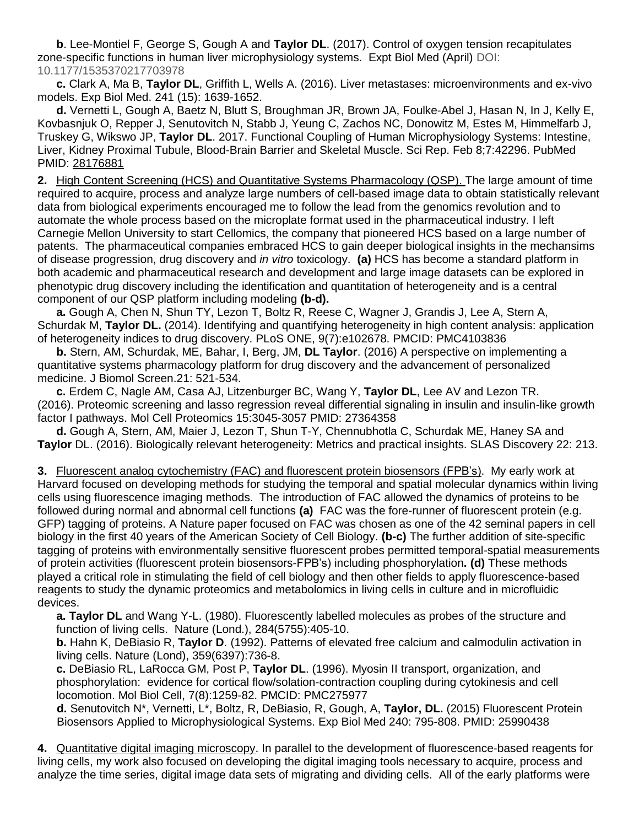**b**. Lee-Montiel F, George S, Gough A and **Taylor DL**. (2017). Control of oxygen tension recapitulates zone-specific functions in human liver microphysiology systems. Expt Biol Med (April) DOI: 10.1177/1535370217703978

**c.** Clark A, Ma B, **Taylor DL**, Griffith L, Wells A. (2016). Liver metastases: microenvironments and ex-vivo models. Exp Biol Med. 241 (15): 1639-1652.

**d.** Vernetti L, Gough A, Baetz N, Blutt S, Broughman JR, Brown JA, Foulke-Abel J, Hasan N, In J, Kelly E, Kovbasnjuk O, Repper J, Senutovitch N, Stabb J, Yeung C, Zachos NC, Donowitz M, Estes M, Himmelfarb J, Truskey G, Wikswo JP, **Taylor DL**. 2017. Functional Coupling of Human Microphysiology Systems: Intestine, Liver, Kidney Proximal Tubule, Blood-Brain Barrier and Skeletal Muscle. Sci Rep. Feb 8;7:42296. PubMed PMID: 28176881

**2.** High Content Screening (HCS) and Quantitative Systems Pharmacology (QSP). The large amount of time required to acquire, process and analyze large numbers of cell-based image data to obtain statistically relevant data from biological experiments encouraged me to follow the lead from the genomics revolution and to automate the whole process based on the microplate format used in the pharmaceutical industry. I left Carnegie Mellon University to start Cellomics, the company that pioneered HCS based on a large number of patents. The pharmaceutical companies embraced HCS to gain deeper biological insights in the mechansims of disease progression, drug discovery and *in vitro* toxicology. **(a)** HCS has become a standard platform in both academic and pharmaceutical research and development and large image datasets can be explored in phenotypic drug discovery including the identification and quantitation of heterogeneity and is a central component of our QSP platform including modeling **(b-d).** 

**a.** Gough A, Chen N, Shun TY, Lezon T, Boltz R, Reese C, Wagner J, Grandis J, Lee A, Stern A, Schurdak M, **Taylor DL.** (2014). Identifying and quantifying heterogeneity in high content analysis: application of heterogeneity indices to drug discovery. PLoS ONE, 9(7):e102678. PMCID: PMC4103836

**b.** Stern, AM, Schurdak, ME, Bahar, I, Berg, JM, **DL Taylor**. (2016) A perspective on implementing a quantitative systems pharmacology platform for drug discovery and the advancement of personalized medicine. J Biomol Screen.21: 521-534.

**c.** Erdem C, Nagle AM, Casa AJ, Litzenburger BC, Wang Y, **Taylor DL**, Lee AV and Lezon TR. (2016). Proteomic screening and lasso regression reveal differential signaling in insulin and insulin-like growth factor I pathways. Mol Cell Proteomics 15:3045-3057 PMID: 27364358

**d.** Gough A, Stern, AM, Maier J, Lezon T, Shun T-Y, Chennubhotla C, Schurdak ME, Haney SA and **Taylor** DL. (2016). Biologically relevant heterogeneity: Metrics and practical insights. SLAS Discovery 22: 213.

**3.** Fluorescent analog cytochemistry (FAC) and fluorescent protein biosensors (FPB's). My early work at Harvard focused on developing methods for studying the temporal and spatial molecular dynamics within living cells using fluorescence imaging methods. The introduction of FAC allowed the dynamics of proteins to be followed during normal and abnormal cell functions **(a)** FAC was the fore-runner of fluorescent protein (e.g. GFP) tagging of proteins. A Nature paper focused on FAC was chosen as one of the 42 seminal papers in cell biology in the first 40 years of the American Society of Cell Biology. **(b-c)** The further addition of site-specific tagging of proteins with environmentally sensitive fluorescent probes permitted temporal-spatial measurements of protein activities (fluorescent protein biosensors-FPB's) including phosphorylation**. (d)** These methods played a critical role in stimulating the field of cell biology and then other fields to apply fluorescence-based reagents to study the dynamic proteomics and metabolomics in living cells in culture and in microfluidic devices.

**a. Taylor DL** and Wang Y-L. (1980). Fluorescently labelled molecules as probes of the structure and function of living cells. Nature (Lond.), 284(5755):405-10.

**b.** Hahn K, DeBiasio R, **Taylor D**. (1992). Patterns of elevated free calcium and calmodulin activation in living cells. Nature (Lond), 359(6397):736-8.

**c.** DeBiasio RL, LaRocca GM, Post P, **Taylor DL**. (1996). Myosin II transport, organization, and phosphorylation: evidence for cortical flow/solation-contraction coupling during cytokinesis and cell locomotion. Mol Biol Cell, 7(8):1259-82. PMCID: PMC275977

 **d.** Senutovitch N\*, Vernetti, L\*, Boltz, R, DeBiasio, R, Gough, A, **Taylor, DL.** (2015) Fluorescent Protein Biosensors Applied to Microphysiological Systems. Exp Biol Med 240: 795-808. PMID: 25990438

**4.** Quantitative digital imaging microscopy. In parallel to the development of fluorescence-based reagents for living cells, my work also focused on developing the digital imaging tools necessary to acquire, process and analyze the time series, digital image data sets of migrating and dividing cells. All of the early platforms were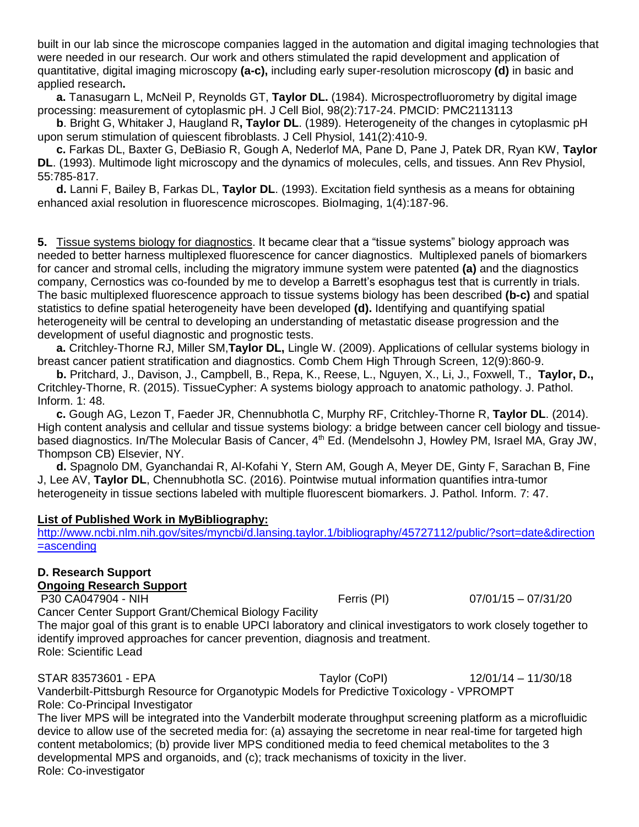built in our lab since the microscope companies lagged in the automation and digital imaging technologies that were needed in our research. Our work and others stimulated the rapid development and application of quantitative, digital imaging microscopy **(a-c),** including early super-resolution microscopy **(d)** in basic and applied research**.**

**a.** Tanasugarn L, McNeil P, Reynolds GT, **Taylor DL.** (1984). Microspectrofluorometry by digital image processing: measurement of cytoplasmic pH. J Cell Biol, 98(2):717-24. PMCID: PMC2113113

**b**. Bright G, Whitaker J, Haugland R**, Taylor DL**. (1989). Heterogeneity of the changes in cytoplasmic pH upon serum stimulation of quiescent fibroblasts. J Cell Physiol, 141(2):410-9.

**c.** Farkas DL, Baxter G, DeBiasio R, Gough A, Nederlof MA, Pane D, Pane J, Patek DR, Ryan KW, **Taylor DL**. (1993). Multimode light microscopy and the dynamics of molecules, cells, and tissues. Ann Rev Physiol, 55:785-817.

**d.** Lanni F, Bailey B, Farkas DL, **Taylor DL**. (1993). Excitation field synthesis as a means for obtaining enhanced axial resolution in fluorescence microscopes. BioImaging, 1(4):187-96.

**5.** Tissue systems biology for diagnostics. It became clear that a "tissue systems" biology approach was needed to better harness multiplexed fluorescence for cancer diagnostics. Multiplexed panels of biomarkers for cancer and stromal cells, including the migratory immune system were patented **(a)** and the diagnostics company, Cernostics was co-founded by me to develop a Barrett's esophagus test that is currently in trials. The basic multiplexed fluorescence approach to tissue systems biology has been described **(b-c)** and spatial statistics to define spatial heterogeneity have been developed **(d).** Identifying and quantifying spatial heterogeneity will be central to developing an understanding of metastatic disease progression and the development of useful diagnostic and prognostic tests.

**a.** Critchley-Thorne RJ, Miller SM,**Taylor DL,** Lingle W. (2009). Applications of cellular systems biology in breast cancer patient stratification and diagnostics. Comb Chem High Through Screen, 12(9):860-9.

**b.** Pritchard, J., Davison, J., Campbell, B., Repa, K., Reese, L., Nguyen, X., Li, J., Foxwell, T., **Taylor, D.,** Critchley-Thorne, R. (2015). TissueCypher: A systems biology approach to anatomic pathology. J. Pathol. Inform. 1: 48.

**c.** Gough AG, Lezon T, Faeder JR, Chennubhotla C, Murphy RF, Critchley-Thorne R, **Taylor DL**. (2014). High content analysis and cellular and tissue systems biology: a bridge between cancer cell biology and tissuebased diagnostics. In/The Molecular Basis of Cancer, 4<sup>th</sup> Ed. (Mendelsohn J, Howley PM, Israel MA, Gray JW, Thompson CB) Elsevier, NY.

**d.** Spagnolo DM, Gyanchandai R, Al-Kofahi Y, Stern AM, Gough A, Meyer DE, Ginty F, Sarachan B, Fine J, Lee AV, **Taylor DL**, Chennubhotla SC. (2016). Pointwise mutual information quantifies intra-tumor heterogeneity in tissue sections labeled with multiple fluorescent biomarkers. J. Pathol. Inform. 7: 47.

#### **List of Published Work in MyBibliography:**

[http://www.ncbi.nlm.nih.gov/sites/myncbi/d.lansing.taylor.1/bibliography/45727112/public/?sort=date&direction](http://www.ncbi.nlm.nih.gov/sites/myncbi/d.lansing.taylor.1/bibliography/45727112/public/?sort=date&direction=ascending) [=ascending](http://www.ncbi.nlm.nih.gov/sites/myncbi/d.lansing.taylor.1/bibliography/45727112/public/?sort=date&direction=ascending)

# **D. Research Support**

**Ongoing Research Support**

P30 CA047904 - NIH Ferris (PI) 07/01/15 – 07/31/20

Cancer Center Support Grant/Chemical Biology Facility The major goal of this grant is to enable UPCI laboratory and clinical investigators to work closely together to identify improved approaches for cancer prevention, diagnosis and treatment. Role: Scientific Lead

STAR 83573601 - EPA Taylor (CoPI) 12/01/14 – 11/30/18 Vanderbilt-Pittsburgh Resource for Organotypic Models for Predictive Toxicology - VPROMPT Role: Co-Principal Investigator

The liver MPS will be integrated into the Vanderbilt moderate throughput screening platform as a microfluidic device to allow use of the secreted media for: (a) assaying the secretome in near real-time for targeted high content metabolomics; (b) provide liver MPS conditioned media to feed chemical metabolites to the 3 developmental MPS and organoids, and (c); track mechanisms of toxicity in the liver. Role: Co-investigator